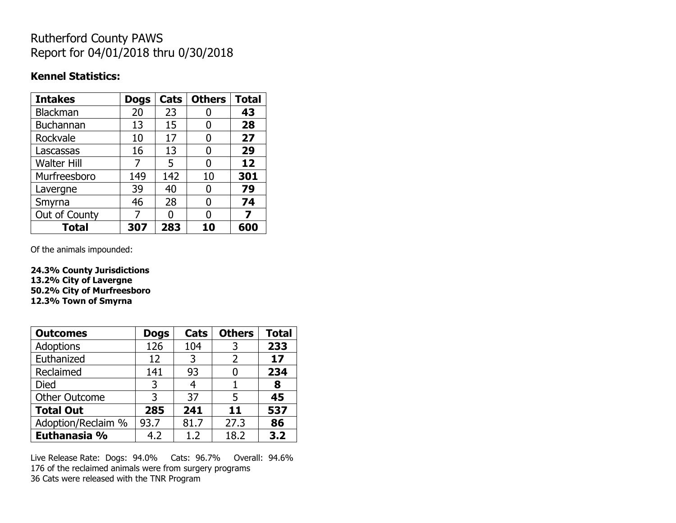## Rutherford County PAWS Report for 04/01/2018 thru 0/30/2018

### **Kennel Statistics:**

| <b>Intakes</b>     | <b>Dogs</b> | Cats | <b>Others</b> | <b>Total</b> |
|--------------------|-------------|------|---------------|--------------|
| Blackman           | 20          | 23   |               | 43           |
| <b>Buchannan</b>   | 13          | 15   | O             | 28           |
| Rockvale           | 10          | 17   | 0             | 27           |
| Lascassas          | 16          | 13   | 0             | 29           |
| <b>Walter Hill</b> | 7           | 5    | O             | 12           |
| Murfreesboro       | 149         | 142  | 10            | 301          |
| Lavergne           | 39          | 40   | 0             | 79           |
| Smyrna             | 46          | 28   | O             | 74           |
| Out of County      | 7           | N    | O             | 7            |
| <b>Total</b>       | 307         | 283  | 10            | 600          |

Of the animals impounded:

**24.3% County Jurisdictions 13.2% City of Lavergne 50.2% City of Murfreesboro 12.3% Town of Smyrna**

| <b>Outcomes</b>      | <b>Dogs</b> | Cats | <b>Others</b>  | <b>Total</b> |
|----------------------|-------------|------|----------------|--------------|
| <b>Adoptions</b>     | 126         | 104  | 3              | 233          |
| Euthanized           | 12          | 3    | $\overline{2}$ | 17           |
| Reclaimed            | 141         | 93   |                | 234          |
| <b>Died</b>          | 3           |      |                | 8            |
| <b>Other Outcome</b> | 3           | 37   | 5              | 45           |
| <b>Total Out</b>     | 285         | 241  | 11             | 537          |
| Adoption/Reclaim %   | 93.7        | 81.7 | 27.3           | 86           |
| Euthanasia %         | 4.2         | 1.2  | 18.2           | 3.2          |

Live Release Rate: Dogs: 94.0% Cats: 96.7% Overall: 94.6% 176 of the reclaimed animals were from surgery programs 36 Cats were released with the TNR Program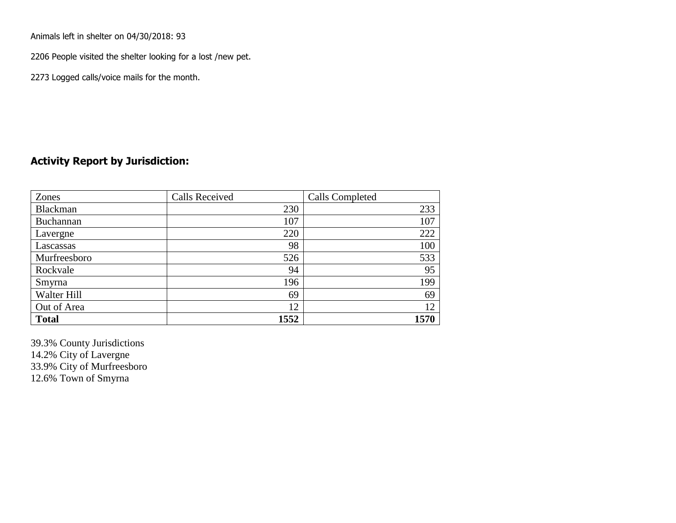Animals left in shelter on 04/30/2018: 93

2206 People visited the shelter looking for a lost /new pet.

2273 Logged calls/voice mails for the month.

#### **Activity Report by Jurisdiction:**

| Zones           | <b>Calls Received</b> | Calls Completed |
|-----------------|-----------------------|-----------------|
| <b>Blackman</b> | 230                   | 233             |
| Buchannan       | 107                   | 107             |
| Lavergne        | 220                   | 222             |
| Lascassas       | 98                    | 100             |
| Murfreesboro    | 526                   | 533             |
| Rockvale        | 94                    | 95              |
| Smyrna          | 196                   | 199             |
| Walter Hill     | 69                    | 69              |
| Out of Area     | 12                    | 12              |
| <b>Total</b>    | 1552                  | 1570            |

39.3% County Jurisdictions 14.2% City of Lavergne 33.9% City of Murfreesboro 12.6% Town of Smyrna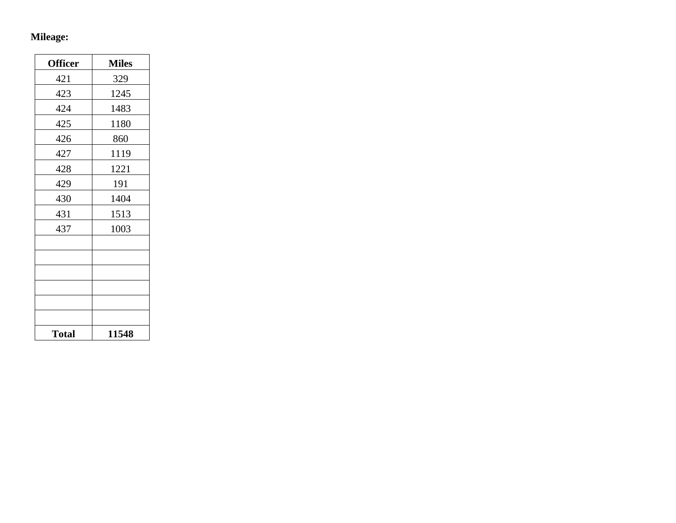# **Mileage:**

| <b>Officer</b> | <b>Miles</b> |
|----------------|--------------|
| 421            | 329          |
| 423            | 1245         |
| 424            | 1483         |
| 425            | 1180         |
| 426            | 860          |
| 427            | 1119         |
| 428            | 1221         |
| 429            | 191          |
| 430            | 1404         |
| 431            | 1513         |
| 437            | 1003         |
|                |              |
|                |              |
|                |              |
|                |              |
|                |              |
|                |              |
| <b>Total</b>   | 11548        |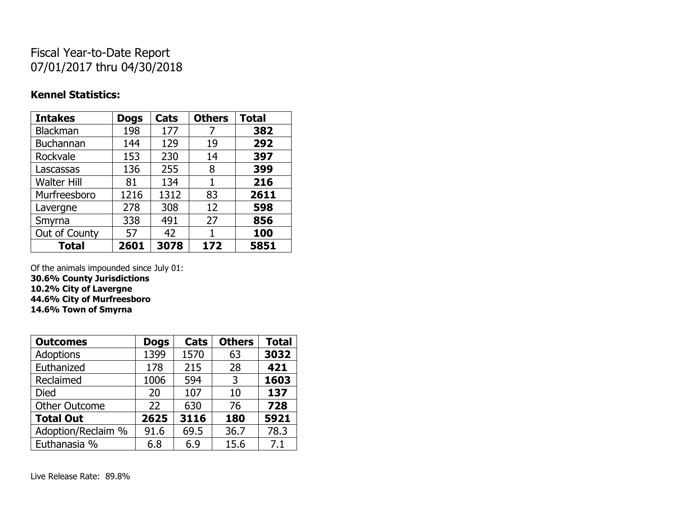## Fiscal Year-to-Date Report 07/01/2017 thru 04/30/2018

### **Kennel Statistics:**

| <b>Intakes</b>     | <b>Dogs</b> | Cats | <b>Others</b> | <b>Total</b> |
|--------------------|-------------|------|---------------|--------------|
| Blackman           | 198         | 177  | 7             | 382          |
| <b>Buchannan</b>   | 144         | 129  | 19            | 292          |
| Rockvale           | 153         | 230  | 14            | 397          |
| Lascassas          | 136         | 255  | 8             | 399          |
| <b>Walter Hill</b> | 81          | 134  | 1             | 216          |
| Murfreesboro       | 1216        | 1312 | 83            | 2611         |
| Lavergne           | 278         | 308  | 12            | 598          |
| Smyrna             | 338         | 491  | 27            | 856          |
| Out of County      | 57          | 42   | 1             | 100          |
| <b>Total</b>       | 2601        | 3078 | 172           | 5851         |

Of the animals impounded since July 01:

**30.6% County Jurisdictions**

**10.2% City of Lavergne 44.6% City of Murfreesboro**

**14.6% Town of Smyrna**

| <b>Outcomes</b>      | <b>Dogs</b> | Cats | <b>Others</b> | <b>Total</b> |
|----------------------|-------------|------|---------------|--------------|
| Adoptions            | 1399        | 1570 | 63            | 3032         |
| Euthanized           | 178         | 215  | 28            | 421          |
| Reclaimed            | 1006        | 594  | 3             | 1603         |
| <b>Died</b>          | 20          | 107  | 10            | 137          |
| <b>Other Outcome</b> | 22          | 630  | 76            | 728          |
| <b>Total Out</b>     | 2625        | 3116 | 180           | 5921         |
| Adoption/Reclaim %   | 91.6        | 69.5 | 36.7          | 78.3         |
| Euthanasia %         | 6.8         | 6.9  | 15.6          | 7.1          |

Live Release Rate: 89.8%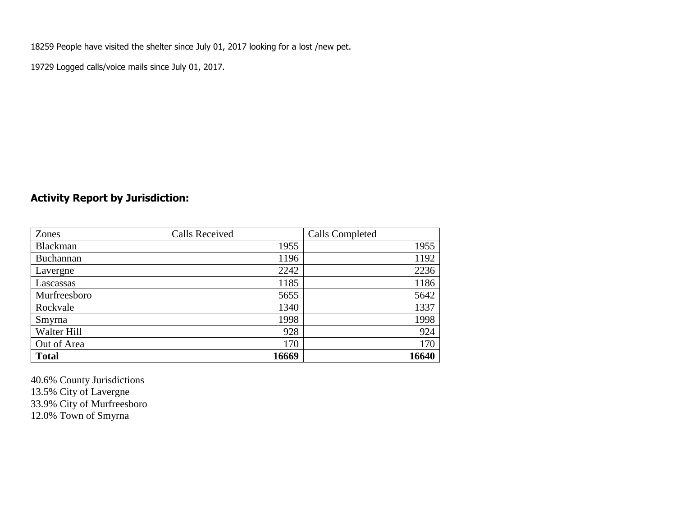18259 People have visited the shelter since July 01, 2017 looking for a lost /new pet.

19729 Logged calls/voice mails since July 01, 2017.

## **Activity Report by Jurisdiction:**

| Zones           | <b>Calls Received</b> | Calls Completed |
|-----------------|-----------------------|-----------------|
| <b>Blackman</b> | 1955                  | 1955            |
| Buchannan       | 1196                  | 1192            |
| Lavergne        | 2242                  | 2236            |
| Lascassas       | 1185                  | 1186            |
| Murfreesboro    | 5655                  | 5642            |
| Rockvale        | 1340                  | 1337            |
| Smyrna          | 1998                  | 1998            |
| Walter Hill     | 928                   | 924             |
| Out of Area     | 170                   | 170             |
| <b>Total</b>    | 16669                 | 16640           |

40.6% County Jurisdictions 13.5% City of Lavergne 33.9% City of Murfreesboro 12.0% Town of Smyrna